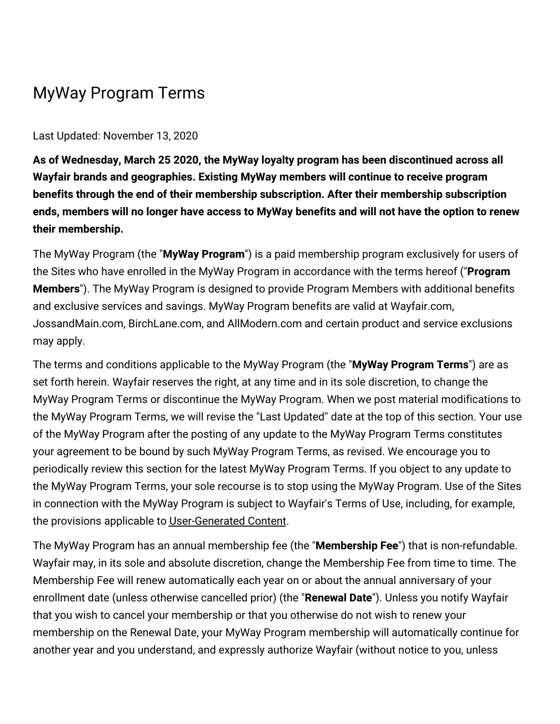## MyWay Program Terms

## Last Updated: November 13, 2020

**As of Wednesday, March 25 2020, the MyWay loyalty program has been discontinued across all Wayfair brands and geographies. Existing MyWay members will continue to receive program benefits through the end of their membership subscription. After their membership subscription ends, members will no longer have access to MyWay benefits and will not have the option to renew their membership.**

The MyWay Program (the "**MyWay Program**") is a paid membership program exclusively for users of the Sites who have enrolled in the MyWay Program in accordance with the terms hereof ("**Program Members**"). The MyWay Program is designed to provide Program Members with additional benefits and exclusive services and savings. MyWay Program benefits are valid at Wayfair.com, JossandMain.com, BirchLane.com, and AllModern.com and certain product and service exclusions may apply.

The terms and conditions applicable to the MyWay Program (the "**MyWay Program Terms**") are as set forth herein. Wayfair reserves the right, at any time and in its sole discretion, to change the MyWay Program Terms or discontinue the MyWay Program. When we post material modifications to the MyWay Program Terms, we will revise the "Last Updated" date at the top of this section. Your use of the MyWay Program after the posting of any update to the MyWay Program Terms constitutes your agreement to be bound by such MyWay Program Terms, as revised. We encourage you to periodically review this section for the latest MyWay Program Terms. If you object to any update to the MyWay Program Terms, your sole recourse is to stop using the MyWay Program. Use of the Sites in connection with the MyWay Program is subject to Wayfair's Terms of Use, including, for example, the provisions applicable to [User-Generated](https://terms.birchlane.io/en-US#birchlane-usergenerated) Content.

The MyWay Program has an annual membership fee (the "**Membership Fee**") that is non-refundable. Wayfair may, in its sole and absolute discretion, change the Membership Fee from time to time. The Membership Fee will renew automatically each year on or about the annual anniversary of your enrollment date (unless otherwise cancelled prior) (the "**Renewal Date**"). Unless you notify Wayfair that you wish to cancel your membership or that you otherwise do not wish to renew your membership on the Renewal Date, your MyWay Program membership will automatically continue for another year and you understand, and expressly authorize Wayfair (without notice to you, unless